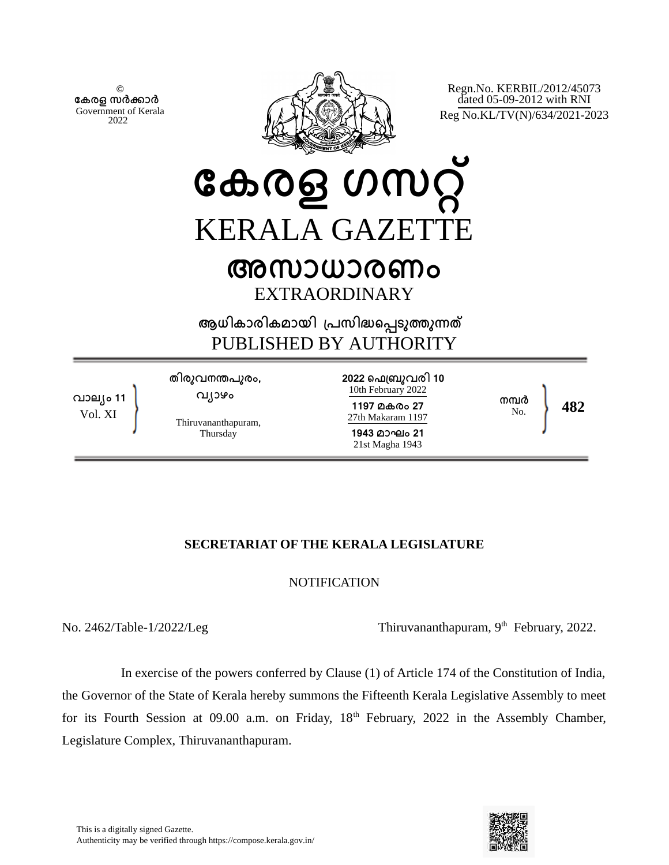© **േകരള സർകാർ** Government of Kerala 2022



Regn.No. KERBIL/2012/45073 dated 05-09-2012 with RNI Reg No.KL/TV(N)/634/2021-2023

**േകരള ഗസറ്** KERALA GAZETT

## **അസാധാരണം** EXTRAORDINARY

**ആധികാരികമായി ്പസിദെപടുതുനത** PUBLISHED BY AUTHORITY



## **SECRETARIAT OF THE KERALA LEGISLATURE**

## **NOTIFICATION**

No. 2462/Table-1/2022/Leg Thiruvananthapuram,  $9<sup>th</sup>$  February, 2022.

 In exercise of the powers conferred by Clause (1) of Article 174 of the Constitution of India, the Governor of the State of Kerala hereby summons the Fifteenth Kerala Legislative Assembly to meet for its Fourth Session at 09.00 a.m. on Friday,  $18<sup>th</sup>$  February, 2022 in the Assembly Chamber, Legislature Complex, Thiruvananthapuram.